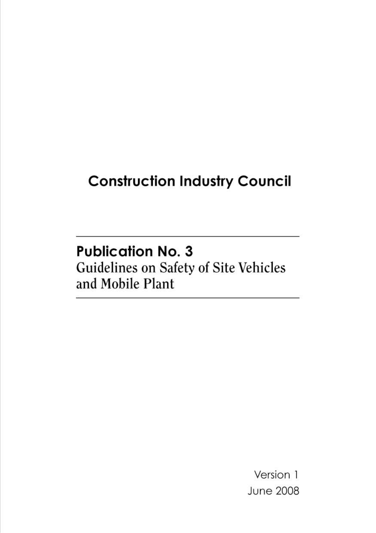# **Construction Industry Council**

# **Publication No. 3**

Guidelines on Safety of Site Vehicles and Mobile Plant

> Version 1 **June 2008**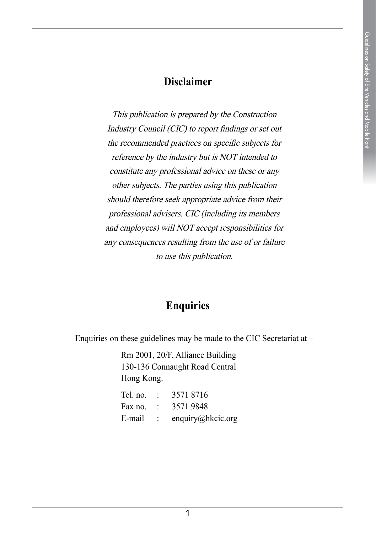### **Disclaimer**

This publication is prepared by the Construction Industry Council (CIC) to report findings or set out the recommended practices on specific subjects for reference by the industry but is NOT intended to constitute any professional advice on these or any other subjects. The parties using this publication should therefore seek appropriate advice from their professional advisers. CIC (including its members and employees) will NOT accept responsibilities for any consequences resulting from the use of or failure to use this publication.

### **Enquiries**

Enquiries on these guidelines may be made to the CIC Secretariat at –

Rm 2001, 20/F, Alliance Building 130-136 Connaught Road Central Hong Kong.

| Tel. no. | 35718716          |
|----------|-------------------|
| Fax no.  | 35719848          |
| E-mail   | enquiry@hkcic.org |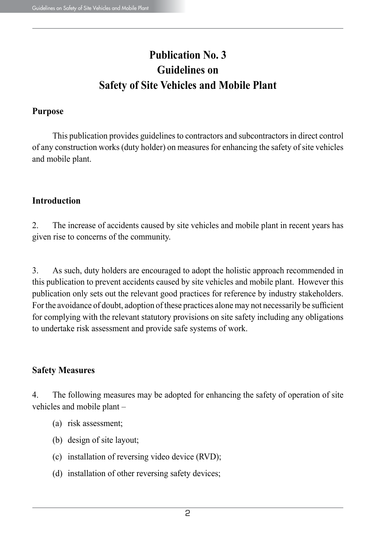# **Publication No. 3 Guidelines on Safety of Site Vehicles and Mobile Plant**

#### **Purpose**

This publication provides guidelines to contractors and subcontractors in direct control of any construction works (duty holder) on measures for enhancing the safety of site vehicles and mobile plant.

### **Introduction**

2. The increase of accidents caused by site vehicles and mobile plant in recent years has given rise to concerns of the community.

3. As such, duty holders are encouraged to adopt the holistic approach recommended in this publication to prevent accidents caused by site vehicles and mobile plant. However this publication only sets out the relevant good practices for reference by industry stakeholders. For the avoidance of doubt, adoption of these practices alone may not necessarily be sufficient for complying with the relevant statutory provisions on site safety including any obligations to undertake risk assessment and provide safe systems of work.

### **Safety Measures**

4. The following measures may be adopted for enhancing the safety of operation of site vehicles and mobile plant –

- (a) risk assessment;
- (b) design of site layout;
- (c) installation of reversing video device (RVD);
- (d) installation of other reversing safety devices;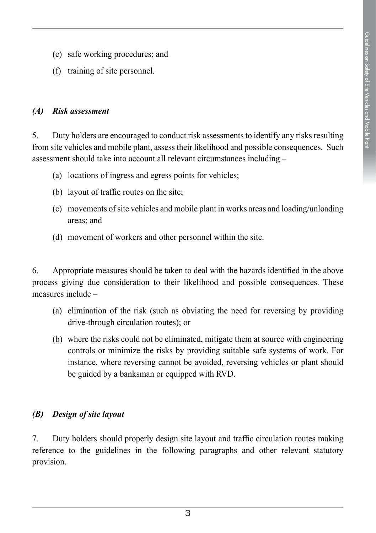- (e) safe working procedures; and
- (f) training of site personnel.

#### *(A) Risk assessment*

5. Duty holders are encouraged to conduct risk assessments to identify any risks resulting from site vehicles and mobile plant, assess their likelihood and possible consequences. Such assessment should take into account all relevant circumstances including –

- (a) locations of ingress and egress points for vehicles;
- (b) layout of traffic routes on the site;
- (c) movements of site vehicles and mobile plant in works areas and loading/unloading areas; and
- (d) movement of workers and other personnel within the site.

6. Appropriate measures should be taken to deal with the hazards identified in the above process giving due consideration to their likelihood and possible consequences. These measures include –

- (a) elimination of the risk (such as obviating the need for reversing by providing drive-through circulation routes); or
- (b) where the risks could not be eliminated, mitigate them at source with engineering controls or minimize the risks by providing suitable safe systems of work. For instance, where reversing cannot be avoided, reversing vehicles or plant should be guided by a banksman or equipped with RVD.

### *(B) Design of site layout*

7. Duty holders should properly design site layout and traffic circulation routes making reference to the guidelines in the following paragraphs and other relevant statutory provision.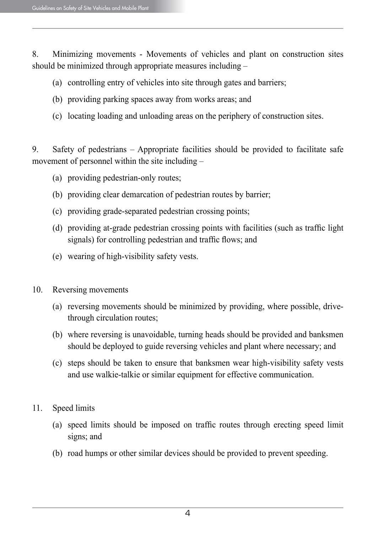8. Minimizing movements - Movements of vehicles and plant on construction sites should be minimized through appropriate measures including –

- (a) controlling entry of vehicles into site through gates and barriers;
- (b) providing parking spaces away from works areas; and
- (c) locating loading and unloading areas on the periphery of construction sites.

9. Safety of pedestrians – Appropriate facilities should be provided to facilitate safe movement of personnel within the site including –

- (a) providing pedestrian-only routes;
- (b) providing clear demarcation of pedestrian routes by barrier;
- (c) providing grade-separated pedestrian crossing points;
- (d) providing at-grade pedestrian crossing points with facilities (such as traffic light signals) for controlling pedestrian and traffic flows; and
- (e) wearing of high-visibility safety vests.
- 10. Reversing movements
	- (a) reversing movements should be minimized by providing, where possible, drivethrough circulation routes;
	- (b) where reversing is unavoidable, turning heads should be provided and banksmen should be deployed to guide reversing vehicles and plant where necessary; and
	- (c) steps should be taken to ensure that banksmen wear high-visibility safety vests and use walkie-talkie or similar equipment for effective communication.
- 11. Speed limits
	- (a) speed limits should be imposed on traffic routes through erecting speed limit signs; and
	- (b) road humps or other similar devices should be provided to prevent speeding.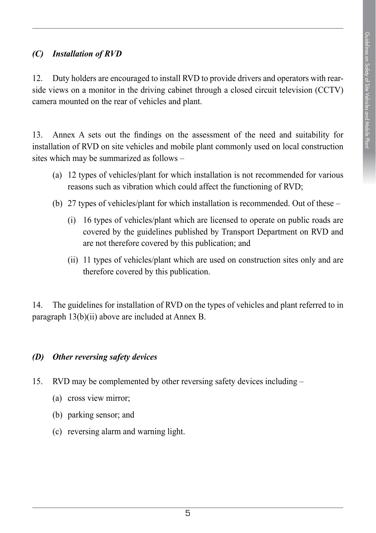### *(C) Installation of RVD*

12. Duty holders are encouraged to install RVD to provide drivers and operators with rearside views on a monitor in the driving cabinet through a closed circuit television (CCTV) camera mounted on the rear of vehicles and plant.

13. Annex A sets out the findings on the assessment of the need and suitability for installation of RVD on site vehicles and mobile plant commonly used on local construction sites which may be summarized as follows –

- (a) 12 types of vehicles/plant for which installation is not recommended for various reasons such as vibration which could affect the functioning of RVD;
- (b) 27 types of vehicles/plant for which installation is recommended. Out of these
	- (i) 16 types of vehicles/plant which are licensed to operate on public roads are covered by the guidelines published by Transport Department on RVD and are not therefore covered by this publication; and
	- (ii) 11 types of vehicles/plant which are used on construction sites only and are therefore covered by this publication.

14. The guidelines for installation of RVD on the types of vehicles and plant referred to in paragraph 13(b)(ii) above are included at Annex B.

### *(D) Other reversing safety devices*

- 15. RVD may be complemented by other reversing safety devices including
	- (a) cross view mirror;
	- (b) parking sensor; and
	- (c) reversing alarm and warning light.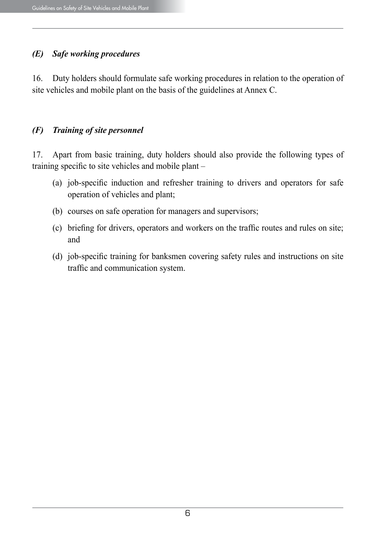### *(E) Safe working procedures*

16. Duty holders should formulate safe working procedures in relation to the operation of site vehicles and mobile plant on the basis of the guidelines at Annex C.

### *(F) Training of site personnel*

17. Apart from basic training, duty holders should also provide the following types of training specific to site vehicles and mobile plant –

- (a) job-specific induction and refresher training to drivers and operators for safe operation of vehicles and plant;
- (b) courses on safe operation for managers and supervisors;
- (c) briefing for drivers, operators and workers on the traffic routes and rules on site; and
- (d) job-specific training for banksmen covering safety rules and instructions on site traffic and communication system.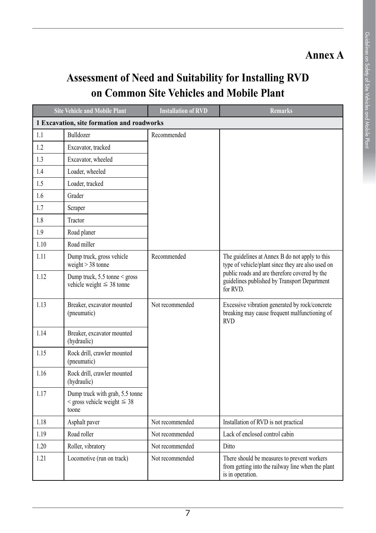# **Annex A**

# **Assessment of Need and Suitability for Installing RVD on Common Site Vehicles and Mobile Plant**

| <b>Site Vehicle and Mobile Plant</b>       |                                                                                  | <b>Installation of RVD</b> | <b>Remarks</b>                                                                                                                                                                                                   |  |  |
|--------------------------------------------|----------------------------------------------------------------------------------|----------------------------|------------------------------------------------------------------------------------------------------------------------------------------------------------------------------------------------------------------|--|--|
| 1 Excavation, site formation and roadworks |                                                                                  |                            |                                                                                                                                                                                                                  |  |  |
| 1.1                                        | Bulldozer                                                                        | Recommended                |                                                                                                                                                                                                                  |  |  |
| 1.2                                        | Excavator, tracked                                                               |                            |                                                                                                                                                                                                                  |  |  |
| 1.3                                        | Excavator, wheeled                                                               |                            |                                                                                                                                                                                                                  |  |  |
| 1.4                                        | Loader, wheeled                                                                  |                            |                                                                                                                                                                                                                  |  |  |
| 1.5                                        | Loader, tracked                                                                  |                            |                                                                                                                                                                                                                  |  |  |
| 1.6                                        | Grader                                                                           |                            |                                                                                                                                                                                                                  |  |  |
| 1.7                                        | Scraper                                                                          |                            |                                                                                                                                                                                                                  |  |  |
| 1.8                                        | Tractor                                                                          |                            |                                                                                                                                                                                                                  |  |  |
| 1.9                                        | Road planer                                                                      |                            |                                                                                                                                                                                                                  |  |  |
| 1.10                                       | Road miller                                                                      |                            |                                                                                                                                                                                                                  |  |  |
| 1.11                                       | Dump truck, gross vehicle<br>weight $> 38$ tonne                                 | Recommended                | The guidelines at Annex B do not apply to this<br>type of vehicle/plant since they are also used on<br>public roads and are therefore covered by the<br>guidelines published by Transport Department<br>for RVD. |  |  |
| 1.12                                       | Dump truck, $5.5$ tonne $\le$ gross<br>vehicle weight $\leq$ 38 tonne            |                            |                                                                                                                                                                                                                  |  |  |
| 1.13                                       | Breaker, excavator mounted<br>(pneumatic)                                        | Not recommended            | Excessive vibration generated by rock/concrete<br>breaking may cause frequent malfunctioning of<br><b>RVD</b>                                                                                                    |  |  |
| 1.14                                       | Breaker, excavator mounted<br>(hydraulic)                                        |                            |                                                                                                                                                                                                                  |  |  |
| 1.15                                       | Rock drill, crawler mounted<br>(pneumatic)                                       |                            |                                                                                                                                                                                                                  |  |  |
| 1.16                                       | Rock drill, crawler mounted<br>(hydraulic)                                       |                            |                                                                                                                                                                                                                  |  |  |
| 1.17                                       | Dump truck with grab, 5.5 tonne<br>$\le$ gross vehicle weight $\leq 38$<br>toone |                            |                                                                                                                                                                                                                  |  |  |
| 1.18                                       | Asphalt paver                                                                    | Not recommended            | Installation of RVD is not practical                                                                                                                                                                             |  |  |
| 1.19                                       | Road roller                                                                      | Not recommended            | Lack of enclosed control cabin                                                                                                                                                                                   |  |  |
| 1.20                                       | Roller, vibratory                                                                | Not recommended            | Ditto                                                                                                                                                                                                            |  |  |
| 1.21                                       | Locomotive (run on track)                                                        | Not recommended            | There should be measures to prevent workers<br>from getting into the railway line when the plant<br>is in operation.                                                                                             |  |  |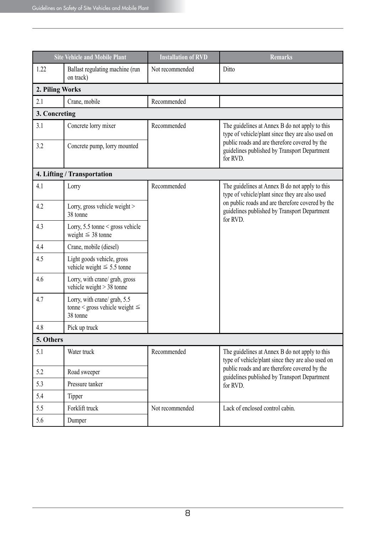| <b>Site Vehicle and Mobile Plant</b> |                                                                                 | <b>Installation of RVD</b> | <b>Remarks</b>                                                                                                                                                                                                   |  |  |  |
|--------------------------------------|---------------------------------------------------------------------------------|----------------------------|------------------------------------------------------------------------------------------------------------------------------------------------------------------------------------------------------------------|--|--|--|
| 1.22                                 | Ballast regulating machine (run<br>on track)                                    | Not recommended            | Ditto                                                                                                                                                                                                            |  |  |  |
| 2. Piling Works                      |                                                                                 |                            |                                                                                                                                                                                                                  |  |  |  |
| 2.1                                  | Crane, mobile                                                                   | Recommended                |                                                                                                                                                                                                                  |  |  |  |
| 3. Concreting                        |                                                                                 |                            |                                                                                                                                                                                                                  |  |  |  |
| 3.1                                  | Concrete lorry mixer                                                            | Recommended                | The guidelines at Annex B do not apply to this<br>type of vehicle/plant since they are also used on<br>public roads and are therefore covered by the<br>guidelines published by Transport Department<br>for RVD. |  |  |  |
| 3.2                                  | Concrete pump, lorry mounted                                                    |                            |                                                                                                                                                                                                                  |  |  |  |
| 4. Lifting / Transportation          |                                                                                 |                            |                                                                                                                                                                                                                  |  |  |  |
| 4.1                                  | Lorry                                                                           | Recommended                | The guidelines at Annex B do not apply to this<br>type of vehicle/plant since they are also used<br>on public roads and are therefore covered by the<br>guidelines published by Transport Department<br>for RVD. |  |  |  |
| 4.2                                  | Lorry, gross vehicle weight ><br>38 tonne                                       |                            |                                                                                                                                                                                                                  |  |  |  |
| 4.3                                  | Lorry, $5.5$ tonne $\le$ gross vehicle<br>weight $\leq$ 38 tonne                |                            |                                                                                                                                                                                                                  |  |  |  |
| 4.4                                  | Crane, mobile (diesel)                                                          |                            |                                                                                                                                                                                                                  |  |  |  |
| 4.5                                  | Light goods vehicle, gross<br>vehicle weight $\leq 5.5$ tonne                   |                            |                                                                                                                                                                                                                  |  |  |  |
| 4.6                                  | Lorry, with crane/ grab, gross<br>vehicle weight $> 38$ tonne                   |                            |                                                                                                                                                                                                                  |  |  |  |
| 4.7                                  | Lorry, with crane/ grab, 5.5<br>tonne < gross vehicle weight $\leq$<br>38 tonne |                            |                                                                                                                                                                                                                  |  |  |  |
| 4.8                                  | Pick up truck                                                                   |                            |                                                                                                                                                                                                                  |  |  |  |
| 5. Others                            |                                                                                 |                            |                                                                                                                                                                                                                  |  |  |  |
| 5.1                                  | Water truck                                                                     | Recommended                | The guidelines at Annex B do not apply to this<br>type of vehicle/plant since they are also used on<br>public roads and are therefore covered by the<br>guidelines published by Transport Department<br>for RVD. |  |  |  |
| 5.2                                  | Road sweeper                                                                    |                            |                                                                                                                                                                                                                  |  |  |  |
| 5.3                                  | Pressure tanker                                                                 |                            |                                                                                                                                                                                                                  |  |  |  |
| 5.4                                  | Tipper                                                                          |                            |                                                                                                                                                                                                                  |  |  |  |
| 5.5                                  | Forklift truck                                                                  | Not recommended            | Lack of enclosed control cabin.                                                                                                                                                                                  |  |  |  |
| 5.6                                  | Dumper                                                                          |                            |                                                                                                                                                                                                                  |  |  |  |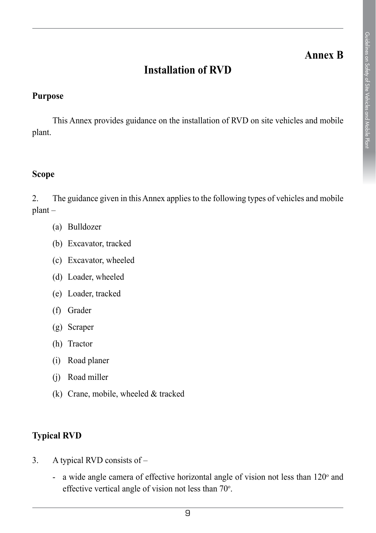## **Annex B**

# **Installation of RVD**

### **Purpose**

This Annex provides guidance on the installation of RVD on site vehicles and mobile plant.

### **Scope**

2. The guidance given in this Annex applies to the following types of vehicles and mobile plant –

- (a) Bulldozer
- (b) Excavator, tracked
- (c) Excavator, wheeled
- (d) Loader, wheeled
- (e) Loader, tracked
- (f) Grader
- (g) Scraper
- (h) Tractor
- (i) Road planer
- (j) Road miller
- (k) Crane, mobile, wheeled & tracked

### **Typical RVD**

- 3. A typical RVD consists of
	- a wide angle camera of effective horizontal angle of vision not less than  $120^{\circ}$  and effective vertical angle of vision not less than  $70^\circ$ .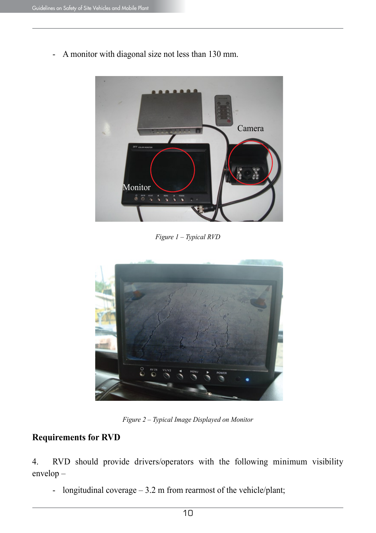

- A monitor with diagonal size not less than 130 mm.

*Figure 1 – Typical RVD*



*Figure 2 – Typical Image Displayed on Monitor*

### **Requirements for RVD**

4. RVD should provide drivers/operators with the following minimum visibility envelop –

- longitudinal coverage – 3.2 m from rearmost of the vehicle/plant;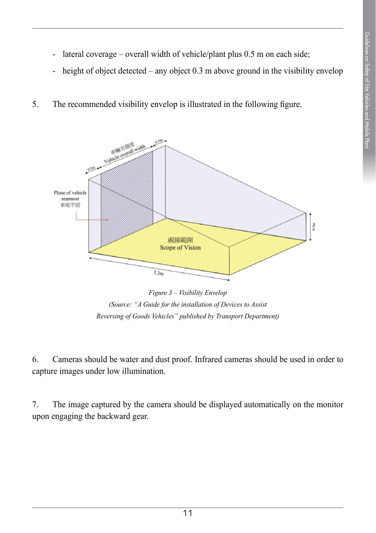- lateral coverage overall width of vehicle/plant plus 0.5 m on each side;
- height of object detected any object 0.3 m above ground in the visibility envelop
- 5. The recommended visibility envelop is illustrated in the following figure.



*Figure 3 – Visibility Envelop (Source: "A Guide for the installation of Devices to Assist Reversing of Goods Vehicles" published by Transport Department)* 

6. Cameras should be water and dust proof. Infrared cameras should be used in order to capture images under low illumination.

7. The image captured by the camera should be displayed automatically on the monitor upon engaging the backward gear.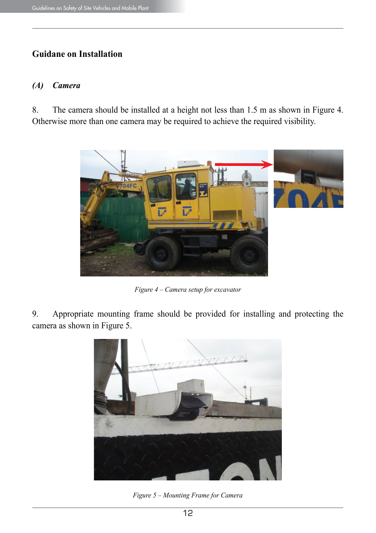### **Guidane on Installation**

#### *(A) Camera*

8. The camera should be installed at a height not less than 1.5 m as shown in Figure 4. Otherwise more than one camera may be required to achieve the required visibility.



*Figure 4 – Camera setup for excavator*

9. Appropriate mounting frame should be provided for installing and protecting the camera as shown in Figure 5.



*Figure 5 – Mounting Frame for Camera*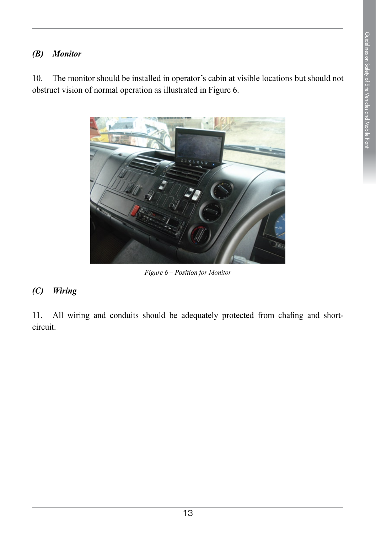### *(B) Monitor*

10. The monitor should be installed in operator's cabin at visible locations but should not obstruct vision of normal operation as illustrated in Figure 6.



*Figure 6 – Position for Monitor*

### *(C) Wiring*

11. All wiring and conduits should be adequately protected from chafing and shortcircuit.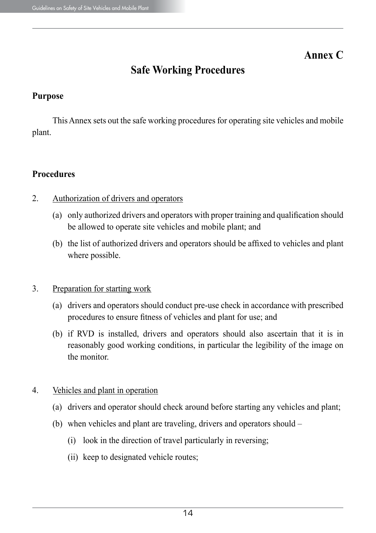## **Annex C**

# **Safe Working Procedures**

### **Purpose**

This Annex sets out the safe working procedures for operating site vehicles and mobile plant.

### **Procedures**

- 2. Authorization of drivers and operators
	- (a) only authorized drivers and operators with proper training and qualification should be allowed to operate site vehicles and mobile plant; and
	- (b) the list of authorized drivers and operators should be affixed to vehicles and plant where possible.

### 3. Preparation for starting work

- (a) drivers and operators should conduct pre-use check in accordance with prescribed procedures to ensure fitness of vehicles and plant for use; and
- (b) if RVD is installed, drivers and operators should also ascertain that it is in reasonably good working conditions, in particular the legibility of the image on the monitor.

### 4. Vehicles and plant in operation

- (a) drivers and operator should check around before starting any vehicles and plant;
- (b) when vehicles and plant are traveling, drivers and operators should
	- (i) look in the direction of travel particularly in reversing;
	- (ii) keep to designated vehicle routes;